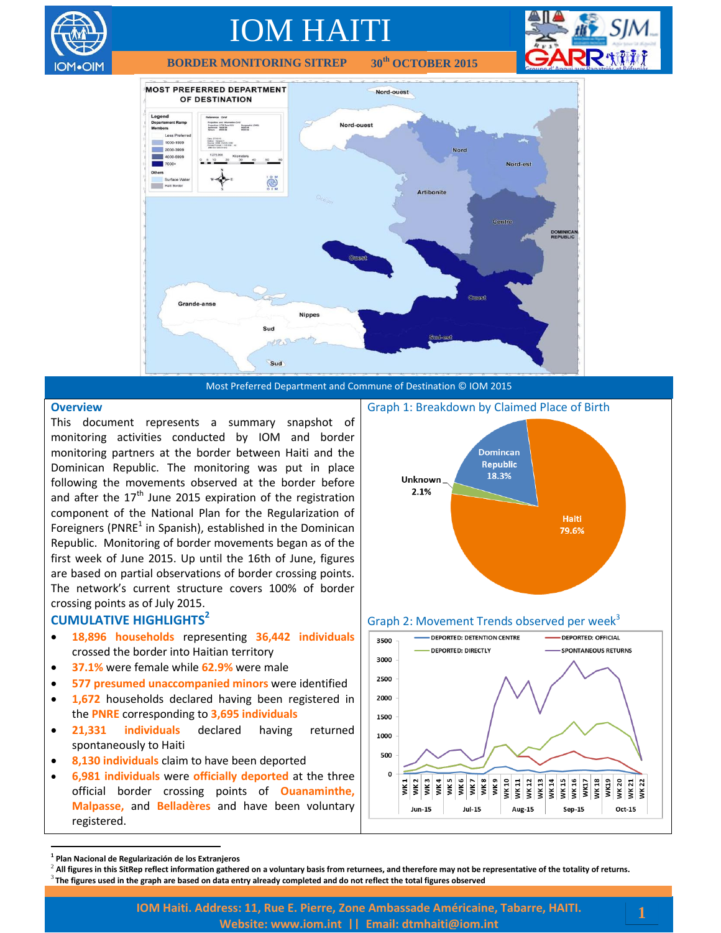

**BORDER MONITORING SITREP th OCTOBER 2015**







#### **Overview**

This document represents a summary snapshot of monitoring activities conducted by IOM and border monitoring partners at the border between Haiti and the Dominican Republic. The monitoring was put in place following the movements observed at the border before and after the  $17<sup>th</sup>$  June 2015 expiration of the registration component of the National Plan for the Regularization of Foreigners (PNRE<sup>1</sup> in Spanish), established in the Dominican Republic. Monitoring of border movements began as of the first week of June 2015. Up until the 16th of June, figures are based on partial observations of border crossing points. The network's current structure covers 100% of border crossing points as of July 2015.

#### **CUMULATIVE HIGHLIGHTS<sup>2</sup>**

- **18,896 households** representing **36,442 individuals** crossed the border into Haitian territory
- **37.1%** were female while **62.9%** were male
- **577 presumed unaccompanied minors** were identified
- **1,672** households declared having been registered in the **PNRE** corresponding to **3,695 individuals**
- **21,331 individuals** declared having returned spontaneously to Haiti
- **8,130 individuals** claim to have been deported
- **6,981 individuals** were **officially deported** at the three official border crossing points of **Ouanaminthe, Malpasse,** and **Belladères** and have been voluntary registered.







 $\overline{a}$ 

**<sup>1</sup> Plan Nacional de Regularización de los Extranjeros**

<sup>2</sup> **All figures in this SitRep reflect information gathered on a voluntary basis from returnees, and therefore may not be representative of the totality of returns.**

<sup>3</sup> **The figures used in the graph are based on data entry already completed and do not reflect the total figures observed**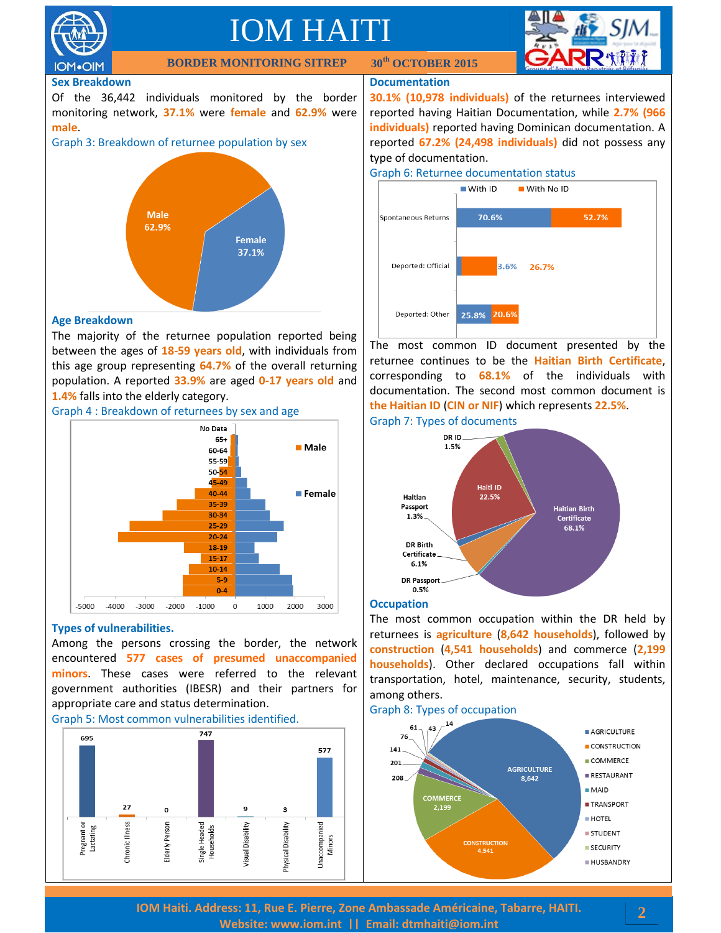



## **Sex Breakdown**

Of the 36,442 individuals monitored by the border monitoring network, **37.1%** were **female** and **62.9%** were **male**.

**BORDER MONITORING SITREP** 





#### **Age Breakdown**

The majority of the returnee population reported being between the ages of **18-59 years old**, with individuals from this age group representing **64.7%** of the overall returning population. A reported **33.9%** are aged **0-17 years old** and **1.4%** falls into the elderly category.





## **Types of vulnerabilities.**

Among the persons crossing the border, the network encountered **577 cases of presumed unaccompanied minors**. These cases were referred to the relevant government authorities (IBESR) and their partners for appropriate care and status determination.





### **Documentation**

**th OCTOBER 2015**

**30.1% (10,978 individuals)** of the returnees interviewed reported having Haitian Documentation, while **2.7% (966 individuals)** reported having Dominican documentation. A reported **67.2% (24,498 individuals)** did not possess any type of documentation.





The most common ID document presented by the returnee continues to be the **Haitian Birth Certificate**, corresponding to **68.1%** of the individuals with documentation. The second most common document is **the Haitian ID** (**CIN or NIF**) which represents **22.5%**. Graph 7: Types of documents



#### **Occupation**

The most common occupation within the DR held by returnees is **agriculture** (**8,642 households**), followed by **construction** (**4,541 households**) and commerce (**2,199 households**). Other declared occupations fall within transportation, hotel, maintenance, security, students, among others.

#### Graph 8: Types of occupation

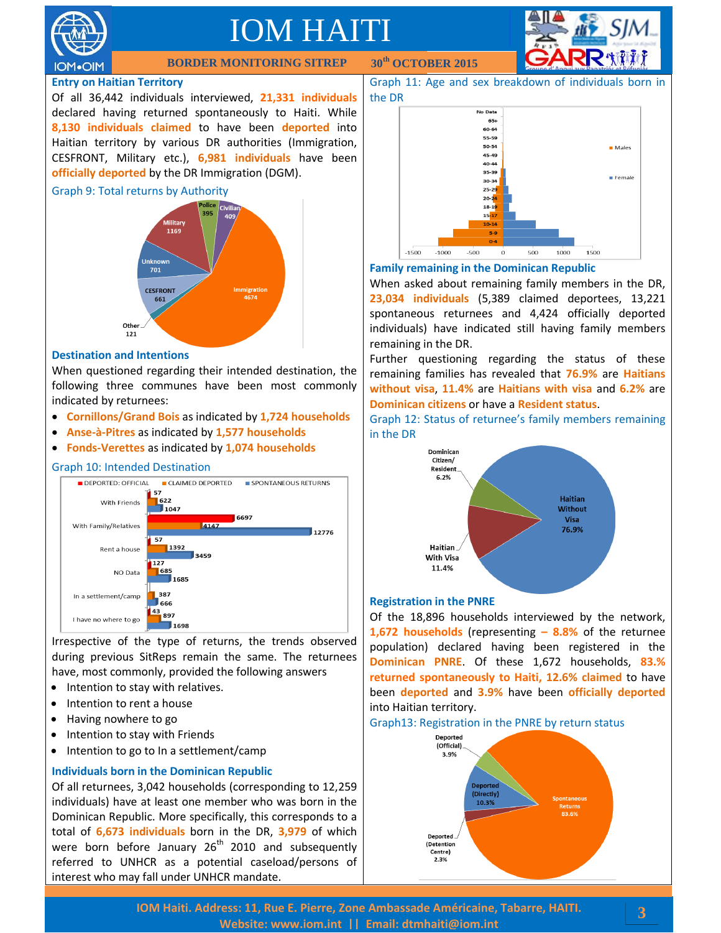



**BORDER MONITORING SITREP** 

## **Entry on Haitian Territory**

Of all 36,442 individuals interviewed, **21,331 individuals** declared having returned spontaneously to Haiti. While **8,130 individuals claimed** to have been **deported** into Haitian territory by various DR authorities (Immigration, CESFRONT, Military etc.), **6,981 individuals** have been **officially deported** by the DR Immigration (DGM).

#### Graph 9: Total returns by Authority



## **Destination and Intentions**

When questioned regarding their intended destination, the following three communes have been most commonly indicated by returnees:

- **Cornillons/Grand Bois** as indicated by **1,724 households**
- **Anse-à-Pitres** as indicated by **1,577 households**
- **Fonds-Verettes** as indicated by **1,074 households**

#### Graph 10: Intended Destination



Irrespective of the type of returns, the trends observed during previous SitReps remain the same. The returnees have, most commonly, provided the following answers

- Intention to stay with relatives.
- Intention to rent a house
- Having nowhere to go
- Intention to stay with Friends
- Intention to go to In a settlement/camp

## **Individuals born in the Dominican Republic**

Of all returnees, 3,042 households (corresponding to 12,259 individuals) have at least one member who was born in the Dominican Republic. More specifically, this corresponds to a total of **6,673 individuals** born in the DR, **3,979** of which were born before January  $26<sup>th</sup>$  2010 and subsequently referred to UNHCR as a potential caseload/persons of interest who may fall under UNHCR mandate.

**th OCTOBER 2015**

Graph 11: Age and sex breakdown of individuals born in the DR





When asked about remaining family members in the DR, **23,034 individuals** (5,389 claimed deportees, 13,221 spontaneous returnees and 4,424 officially deported individuals) have indicated still having family members remaining in the DR.

Further questioning regarding the status of these remaining families has revealed that **76.9%** are **Haitians without visa**, **11.4%** are **Haitians with visa** and **6.2%** are **Dominican citizens** or have a **Resident status**.

Graph 12: Status of returnee's family members remaining in the DR



## **Registration in the PNRE**

Of the 18,896 households interviewed by the network, **1,672 households** (representing **– 8.8%** of the returnee population) declared having been registered in the **Dominican PNRE**. Of these 1,672 households, **83.% returned spontaneously to Haiti, 12.6% claimed** to have been **deported** and **3.9%** have been **officially deported** into Haitian territory.

#### Graph13: Registration in the PNRE by return status



**3**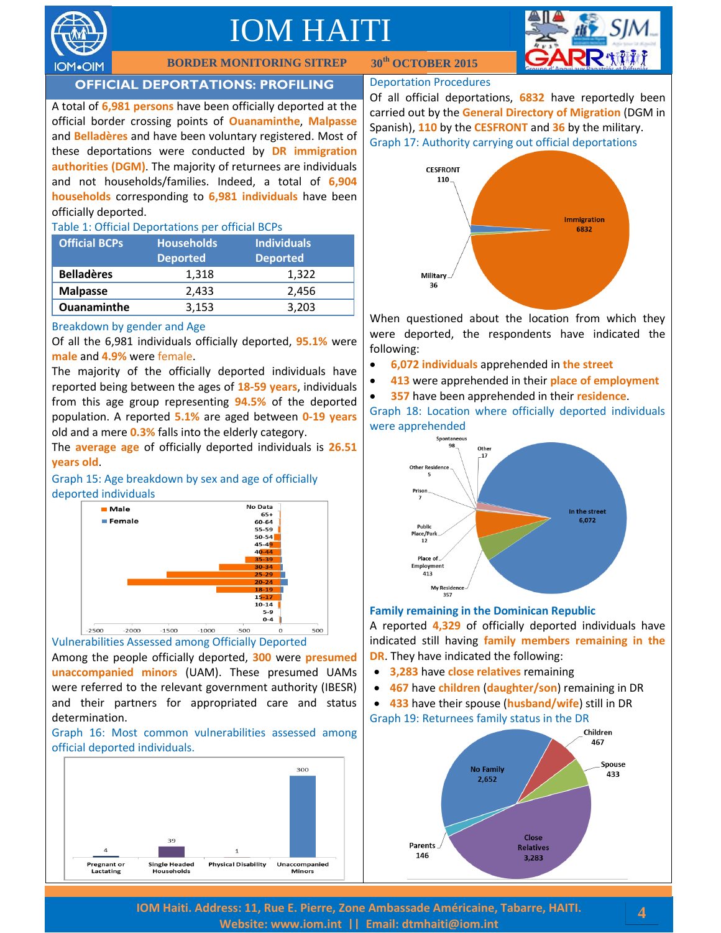



## **BORDER MONITORING SITREP**

## **OFFICIAL DEPORTATIONS: PROFILING**

A total of **6,981 persons** have been officially deported at the official border crossing points of **Ouanaminthe**, **Malpasse** and **Belladères** and have been voluntary registered. Most of these deportations were conducted by **DR immigration authorities (DGM)**. The majority of returnees are individuals and not households/families. Indeed, a total of **6,904 households** corresponding to **6,981 individuals** have been officially deported.

#### Table 1: Official Deportations per official BCPs

| <b>Official BCPs</b> | <b>Households</b><br><b>Deported</b> | <b>Individuals</b><br><b>Deported</b> |
|----------------------|--------------------------------------|---------------------------------------|
| <b>Belladères</b>    | 1,318                                | 1,322                                 |
| <b>Malpasse</b>      | 2.433                                | 2,456                                 |
| <b>Ouanaminthe</b>   | 3,153                                | 3,203                                 |

#### Breakdown by gender and Age

Of all the 6,981 individuals officially deported, **95.1%** were **male** and **4.9%** were female.

The majority of the officially deported individuals have reported being between the ages of **18-59 years**, individuals from this age group representing **94.5%** of the deported population. A reported **5.1%** are aged between **0-19 years** old and a mere **0.3%** falls into the elderly category.

The **average age** of officially deported individuals is **26.51 years old**.





#### Vulnerabilities Assessed among Officially Deported

Among the people officially deported, **300** were **presumed unaccompanied minors** (UAM). These presumed UAMs were referred to the relevant government authority (IBESR) and their partners for appropriated care and status determination.

Graph 16: Most common vulnerabilities assessed among official deported individuals.



#### Deportation Procedures

**th OCTOBER 2015**

Of all official deportations, **6832** have reportedly been carried out by the **General Directory of Migration** (DGM in Spanish), **110** by the **CESFRONT** and **36** by the military. Graph 17: Authority carrying out official deportations



When questioned about the location from which they were deported, the respondents have indicated the following:

- **6,072 individuals** apprehended in **the street**
- **413** were apprehended in their **place of employment**
- **357** have been apprehended in their **residence**.

Graph 18: Location where officially deported individuals were apprehended



#### **Family remaining in the Dominican Republic**

A reported **4,329** of officially deported individuals have indicated still having **family members remaining in the DR**. They have indicated the following:

- **3,283** have **close relatives** remaining
- **467** have **children** (**daughter/son**) remaining in DR
- **433** have their spouse (**husband/wife**) still in DR Graph 19: Returnees family status in the DR



**IOM Haiti. Address: 11, Rue E. Pierre, Zone Ambassade Américaine, Tabarre, HAITI. Website: [www.iom.int](http://www.iom.int/) || Email: [dtmhaiti@iom.int](mailto:dtmhaiti@iom.int?subject=Border%20Monitoring%20info%20request)**